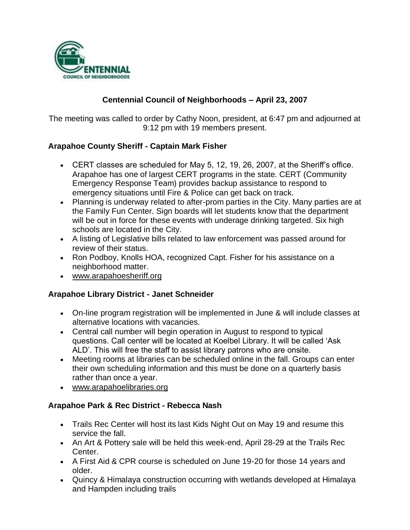

## **Centennial Council of Neighborhoods – April 23, 2007**

The meeting was called to order by Cathy Noon, president, at 6:47 pm and adjourned at 9:12 pm with 19 members present.

### **Arapahoe County Sheriff - Captain Mark Fisher**

- CERT classes are scheduled for May 5, 12, 19, 26, 2007, at the Sheriff's office. Arapahoe has one of largest CERT programs in the state. CERT (Community Emergency Response Team) provides backup assistance to respond to emergency situations until Fire & Police can get back on track.
- Planning is underway related to after-prom parties in the City. Many parties are at the Family Fun Center. Sign boards will let students know that the department will be out in force for these events with underage drinking targeted. Six high schools are located in the City.
- A listing of Legislative bills related to law enforcement was passed around for review of their status.
- Ron Podboy, Knolls HOA, recognized Capt. Fisher for his assistance on a neighborhood matter.
- www.arapahoesheriff.org

### **Arapahoe Library District - Janet Schneider**

- On-line program registration will be implemented in June & will include classes at alternative locations with vacancies.
- Central call number will begin operation in August to respond to typical questions. Call center will be located at Koelbel Library. It will be called 'Ask ALD'. This will free the staff to assist library patrons who are onsite.
- Meeting rooms at libraries can be scheduled online in the fall. Groups can enter their own scheduling information and this must be done on a quarterly basis rather than once a year.
- www.arapahoelibraries.org

### **Arapahoe Park & Rec District - Rebecca Nash**

- Trails Rec Center will host its last Kids Night Out on May 19 and resume this service the fall.
- An Art & Pottery sale will be held this week-end, April 28-29 at the Trails Rec Center.
- A First Aid & CPR course is scheduled on June 19-20 for those 14 years and older.
- Quincy & Himalaya construction occurring with wetlands developed at Himalaya and Hampden including trails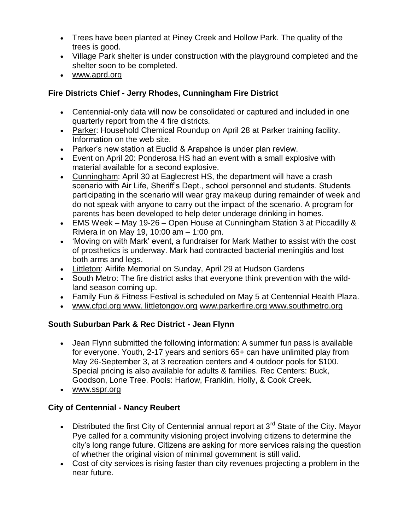- Trees have been planted at Piney Creek and Hollow Park. The quality of the trees is good.
- Village Park shelter is under construction with the playground completed and the shelter soon to be completed.
- www.aprd.org

## **Fire Districts Chief - Jerry Rhodes, Cunningham Fire District**

- Centennial-only data will now be consolidated or captured and included in one quarterly report from the 4 fire districts.
- Parker: Household Chemical Roundup on April 28 at Parker training facility. Information on the web site.
- Parker's new station at Euclid & Arapahoe is under plan review.
- Event on April 20: Ponderosa HS had an event with a small explosive with material available for a second explosive.
- Cunningham: April 30 at Eaglecrest HS, the department will have a crash scenario with Air Life, Sheriff's Dept., school personnel and students. Students participating in the scenario will wear gray makeup during remainder of week and do not speak with anyone to carry out the impact of the scenario. A program for parents has been developed to help deter underage drinking in homes.
- EMS Week May 19-26 Open House at Cunningham Station 3 at Piccadilly & Riviera in on May 19, 10:00 am – 1:00 pm.
- 'Moving on with Mark' event, a fundraiser for Mark Mather to assist with the cost of prosthetics is underway. Mark had contracted bacterial meningitis and lost both arms and legs.
- Littleton: Airlife Memorial on Sunday, April 29 at Hudson Gardens
- South Metro: The fire district asks that everyone think prevention with the wildland season coming up.
- Family Fun & Fitness Festival is scheduled on May 5 at Centennial Health Plaza.
- www.cfpd.org www. littletongov.org www.parkerfire.org www.southmetro.org

## **South Suburban Park & Rec District - Jean Flynn**

- Jean Flynn submitted the following information: A summer fun pass is available for everyone. Youth, 2-17 years and seniors 65+ can have unlimited play from May 26-September 3, at 3 recreation centers and 4 outdoor pools for \$100. Special pricing is also available for adults & families. Rec Centers: Buck, Goodson, Lone Tree. Pools: Harlow, Franklin, Holly, & Cook Creek.
- www.sspr.org

## **City of Centennial - Nancy Reubert**

- Distributed the first City of Centennial annual report at  $3<sup>rd</sup>$  State of the City. Mayor Pye called for a community visioning project involving citizens to determine the city's long range future. Citizens are asking for more services raising the question of whether the original vision of minimal government is still valid.
- Cost of city services is rising faster than city revenues projecting a problem in the near future.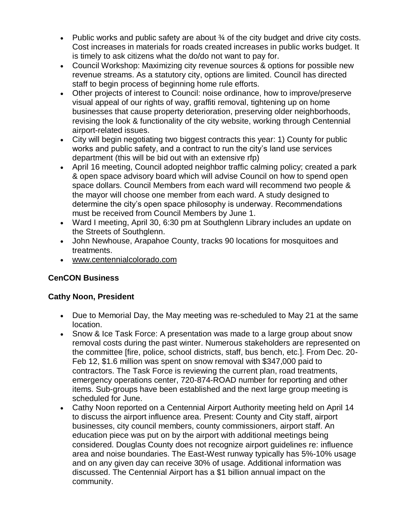- Public works and public safety are about  $\frac{3}{4}$  of the city budget and drive city costs. Cost increases in materials for roads created increases in public works budget. It is timely to ask citizens what the do/do not want to pay for.
- Council Workshop: Maximizing city revenue sources & options for possible new revenue streams. As a statutory city, options are limited. Council has directed staff to begin process of beginning home rule efforts.
- Other projects of interest to Council: noise ordinance, how to improve/preserve visual appeal of our rights of way, graffiti removal, tightening up on home businesses that cause property deterioration, preserving older neighborhoods, revising the look & functionality of the city website, working through Centennial airport-related issues.
- City will begin negotiating two biggest contracts this year: 1) County for public works and public safety, and a contract to run the city's land use services department (this will be bid out with an extensive rfp)
- April 16 meeting, Council adopted neighbor traffic calming policy; created a park & open space advisory board which will advise Council on how to spend open space dollars. Council Members from each ward will recommend two people & the mayor will choose one member from each ward. A study designed to determine the city's open space philosophy is underway. Recommendations must be received from Council Members by June 1.
- Ward I meeting, April 30, 6:30 pm at Southglenn Library includes an update on the Streets of Southglenn.
- John Newhouse, Arapahoe County, tracks 90 locations for mosquitoes and treatments.
- www.centennialcolorado.com

# **CenCON Business**

### **Cathy Noon, President**

- Due to Memorial Day, the May meeting was re-scheduled to May 21 at the same location.
- Snow & Ice Task Force: A presentation was made to a large group about snow removal costs during the past winter. Numerous stakeholders are represented on the committee [fire, police, school districts, staff, bus bench, etc.]. From Dec. 20- Feb 12, \$1.6 million was spent on snow removal with \$347,000 paid to contractors. The Task Force is reviewing the current plan, road treatments, emergency operations center, 720-874-ROAD number for reporting and other items. Sub-groups have been established and the next large group meeting is scheduled for June.
- Cathy Noon reported on a Centennial Airport Authority meeting held on April 14 to discuss the airport influence area. Present: County and City staff, airport businesses, city council members, county commissioners, airport staff. An education piece was put on by the airport with additional meetings being considered. Douglas County does not recognize airport guidelines re: influence area and noise boundaries. The East-West runway typically has 5%-10% usage and on any given day can receive 30% of usage. Additional information was discussed. The Centennial Airport has a \$1 billion annual impact on the community.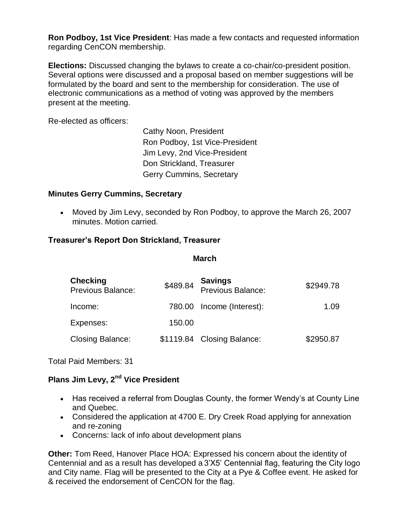**Ron Podboy, 1st Vice President**: Has made a few contacts and requested information regarding CenCON membership.

**Elections:** Discussed changing the bylaws to create a co-chair/co-president position. Several options were discussed and a proposal based on member suggestions will be formulated by the board and sent to the membership for consideration. The use of electronic communications as a method of voting was approved by the members present at the meeting.

Re-elected as officers:

Cathy Noon, President Ron Podboy, 1st Vice-President Jim Levy, 2nd Vice-President Don Strickland, Treasurer Gerry Cummins, Secretary

### **Minutes Gerry Cummins, Secretary**

 Moved by Jim Levy, seconded by Ron Podboy, to approve the March 26, 2007 minutes. Motion carried.

### **Treasurer's Report Don Strickland, Treasurer**

#### **March**

| <b>Checking</b><br><b>Previous Balance:</b> | \$489.84 | <b>Savings</b><br>Previous Balance: | \$2949.78 |
|---------------------------------------------|----------|-------------------------------------|-----------|
| Income:                                     |          | 780.00 Income (Interest):           | 1.09      |
| Expenses:                                   | 150.00   |                                     |           |
| <b>Closing Balance:</b>                     |          | \$1119.84 Closing Balance:          | \$2950.87 |

Total Paid Members: 31

## **Plans Jim Levy, 2nd Vice President**

- Has received a referral from Douglas County, the former Wendy's at County Line and Quebec.
- Considered the application at 4700 E. Dry Creek Road applying for annexation and re-zoning
- Concerns: lack of info about development plans

**Other:** Tom Reed, Hanover Place HOA: Expressed his concern about the identity of Centennial and as a result has developed a 3'X5' Centennial flag, featuring the City logo and City name. Flag will be presented to the City at a Pye & Coffee event. He asked for & received the endorsement of CenCON for the flag.